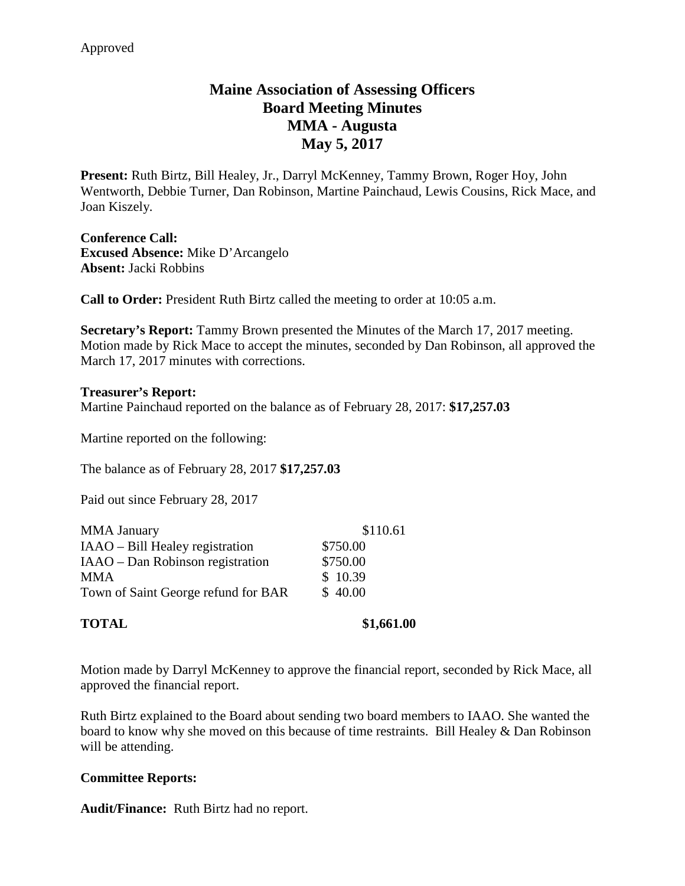# **Maine Association of Assessing Officers Board Meeting Minutes MMA - Augusta May 5, 2017**

**Present:** Ruth Birtz, Bill Healey, Jr., Darryl McKenney, Tammy Brown, Roger Hoy, John Wentworth, Debbie Turner, Dan Robinson, Martine Painchaud, Lewis Cousins, Rick Mace, and Joan Kiszely.

**Conference Call: Excused Absence:** Mike D'Arcangelo **Absent:** Jacki Robbins

**Call to Order:** President Ruth Birtz called the meeting to order at 10:05 a.m.

**Secretary's Report:** Tammy Brown presented the Minutes of the March 17, 2017 meeting. Motion made by Rick Mace to accept the minutes, seconded by Dan Robinson, all approved the March 17, 2017 minutes with corrections.

**Treasurer's Report:**  Martine Painchaud reported on the balance as of February 28, 2017: **\$17,257.03**

Martine reported on the following:

The balance as of February 28, 2017 **\$17,257.03**

Paid out since February 28, 2017

| <b>MMA</b> January                  | \$110.61 |
|-------------------------------------|----------|
| IAAO – Bill Healey registration     | \$750.00 |
| IAAO – Dan Robinson registration    | \$750.00 |
| <b>MMA</b>                          | \$10.39  |
| Town of Saint George refund for BAR | \$40.00  |
|                                     |          |

Motion made by Darryl McKenney to approve the financial report, seconded by Rick Mace, all approved the financial report.

Ruth Birtz explained to the Board about sending two board members to IAAO. She wanted the board to know why she moved on this because of time restraints. Bill Healey & Dan Robinson will be attending.

### **Committee Reports:**

**Audit/Finance:** Ruth Birtz had no report.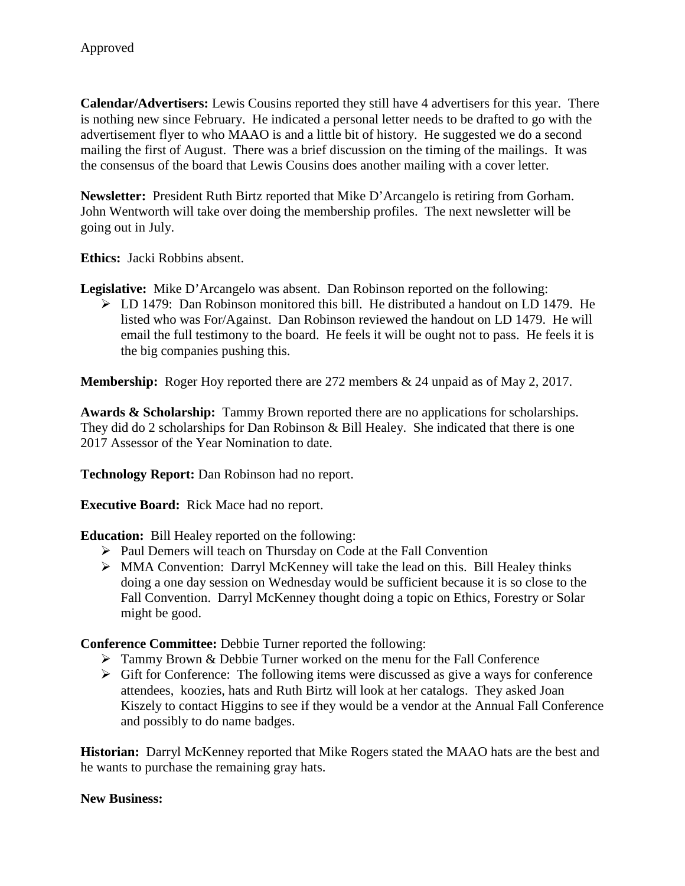**Calendar/Advertisers:** Lewis Cousins reported they still have 4 advertisers for this year. There is nothing new since February. He indicated a personal letter needs to be drafted to go with the advertisement flyer to who MAAO is and a little bit of history. He suggested we do a second mailing the first of August. There was a brief discussion on the timing of the mailings. It was the consensus of the board that Lewis Cousins does another mailing with a cover letter.

**Newsletter:** President Ruth Birtz reported that Mike D'Arcangelo is retiring from Gorham. John Wentworth will take over doing the membership profiles. The next newsletter will be going out in July.

**Ethics:** Jacki Robbins absent.

**Legislative:** Mike D'Arcangelo was absent. Dan Robinson reported on the following:

 $\triangleright$  LD 1479: Dan Robinson monitored this bill. He distributed a handout on LD 1479. He listed who was For/Against. Dan Robinson reviewed the handout on LD 1479. He will email the full testimony to the board. He feels it will be ought not to pass. He feels it is the big companies pushing this.

**Membership:** Roger Hoy reported there are 272 members & 24 unpaid as of May 2, 2017.

**Awards & Scholarship:** Tammy Brown reported there are no applications for scholarships. They did do 2 scholarships for Dan Robinson & Bill Healey. She indicated that there is one 2017 Assessor of the Year Nomination to date.

**Technology Report:** Dan Robinson had no report.

**Executive Board:** Rick Mace had no report.

**Education:** Bill Healey reported on the following:

- Paul Demers will teach on Thursday on Code at the Fall Convention
- MMA Convention: Darryl McKenney will take the lead on this. Bill Healey thinks doing a one day session on Wednesday would be sufficient because it is so close to the Fall Convention. Darryl McKenney thought doing a topic on Ethics, Forestry or Solar might be good.

**Conference Committee:** Debbie Turner reported the following:

- $\triangleright$  Tammy Brown & Debbie Turner worked on the menu for the Fall Conference
- $\triangleright$  Gift for Conference: The following items were discussed as give a ways for conference attendees, koozies, hats and Ruth Birtz will look at her catalogs. They asked Joan Kiszely to contact Higgins to see if they would be a vendor at the Annual Fall Conference and possibly to do name badges.

**Historian:** Darryl McKenney reported that Mike Rogers stated the MAAO hats are the best and he wants to purchase the remaining gray hats.

#### **New Business:**